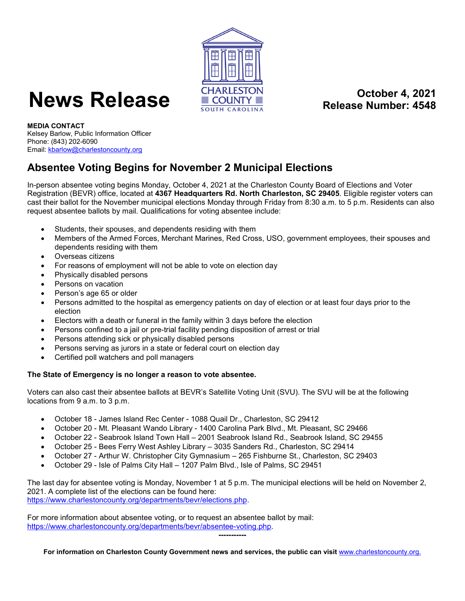

## **News Release CHARLESTON COUNTY Release Number: 4548**

**Release Number: 4548**

**MEDIA CONTACT** Kelsey Barlow, Public Information Officer Phone: (843) 202-6090 Email[: kbarlow@charlestoncounty.org](mailto:kbarlow@charlestoncounty.org)

## **Absentee Voting Begins for November 2 Municipal Elections**

In-person absentee voting begins Monday, October 4, 2021 at the Charleston County Board of Elections and Voter Registration (BEVR) office, located at **4367 Headquarters Rd. North Charleston, SC 29405**. Eligible register voters can cast their ballot for the November municipal elections Monday through Friday from 8:30 a.m. to 5 p.m. Residents can also request absentee ballots by mail. Qualifications for voting absentee include:

- Students, their spouses, and dependents residing with them
- Members of the Armed Forces, Merchant Marines, Red Cross, USO, government employees, their spouses and dependents residing with them
- Overseas citizens
- For reasons of employment will not be able to vote on election day
- Physically disabled persons
- Persons on vacation
- Person's age 65 or older
- Persons admitted to the hospital as emergency patients on day of election or at least four days prior to the election
- Electors with a death or funeral in the family within 3 days before the election
- Persons confined to a jail or pre-trial facility pending disposition of arrest or trial
- Persons attending sick or physically disabled persons
- Persons serving as jurors in a state or federal court on election day
- Certified poll watchers and poll managers

## **The State of Emergency is no longer a reason to vote absentee.**

Voters can also cast their absentee ballots at BEVR's Satellite Voting Unit (SVU). The SVU will be at the following locations from 9 a.m. to 3 p.m.

- October 18 James Island Rec Center 1088 Quail Dr., Charleston, SC 29412
- October 20 Mt. Pleasant Wando Library 1400 Carolina Park Blvd., Mt. Pleasant, SC 29466
- October 22 Seabrook Island Town Hall 2001 Seabrook Island Rd., Seabrook Island, SC 29455
- October 25 Bees Ferry West Ashley Library 3035 Sanders Rd., Charleston, SC 29414
- October 27 Arthur W. Christopher City Gymnasium 265 Fishburne St., Charleston, SC 29403
- October 29 Isle of Palms City Hall 1207 Palm Blvd., Isle of Palms, SC 29451

The last day for absentee voting is Monday, November 1 at 5 p.m. The municipal elections will be held on November 2, 2021. A complete list of the elections can be found here: [https://www.charlestoncounty.org/departments/bevr/elections.php.](https://www.charlestoncounty.org/departments/bevr/elections.php)

For more information about absentee voting, or to request an absentee ballot by mail: [https://www.charlestoncounty.org/departments/bevr/absentee-voting.php.](https://www.charlestoncounty.org/departments/bevr/absentee-voting.php) 

**-----------**

**For information on Charleston County Government news and services, the public can visit** [www.charlestoncounty.org.](http://www.charlestoncounty.org/)